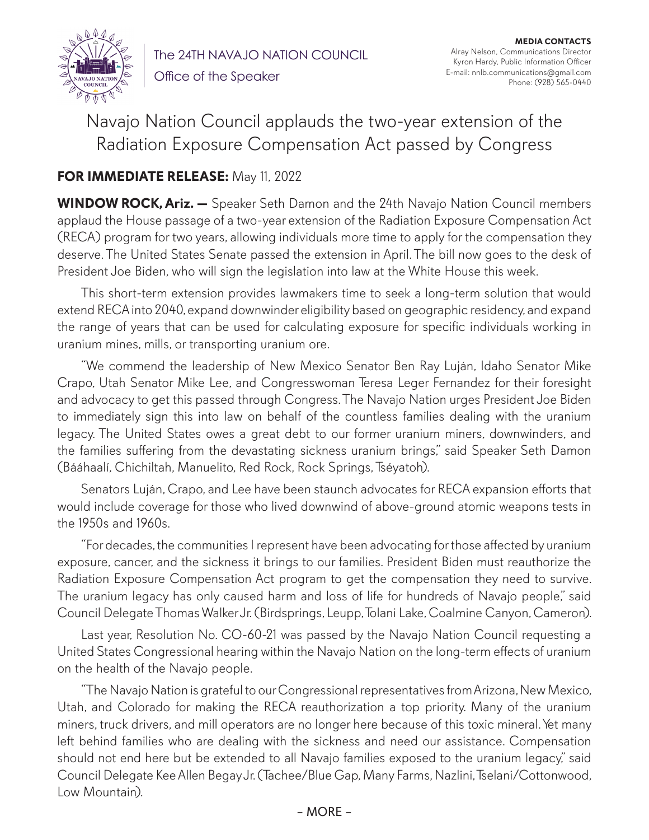

The 24TH NAVAJO NATION COUNCIL Office of the Speaker

**MEDIA CONTACTS** Alray Nelson, Communications Director Kyron Hardy, Public Information Officer E-mail: nnlb.communications@gmail.com Phone: (928) 565-0440

## Navajo Nation Council applauds the two-year extension of the Radiation Exposure Compensation Act passed by Congress

## **FOR IMMEDIATE RELEASE:** May 11, 2022

**WINDOW ROCK, Ariz. —** Speaker Seth Damon and the 24th Navajo Nation Council members applaud the House passage of a two-year extension of the Radiation Exposure Compensation Act (RECA) program for two years, allowing individuals more time to apply for the compensation they deserve. The United States Senate passed the extension in April. The bill now goes to the desk of President Joe Biden, who will sign the legislation into law at the White House this week.

This short-term extension provides lawmakers time to seek a long-term solution that would extend RECA into 2040, expand downwinder eligibility based on geographic residency, and expand the range of years that can be used for calculating exposure for specific individuals working in uranium mines, mills, or transporting uranium ore.

"We commend the leadership of New Mexico Senator Ben Ray Luján, Idaho Senator Mike Crapo, Utah Senator Mike Lee, and Congresswoman Teresa Leger Fernandez for their foresight and advocacy to get this passed through Congress. The Navajo Nation urges President Joe Biden to immediately sign this into law on behalf of the countless families dealing with the uranium legacy. The United States owes a great debt to our former uranium miners, downwinders, and the families suffering from the devastating sickness uranium brings," said Speaker Seth Damon (Bááhaalí, Chichiltah, Manuelito, Red Rock, Rock Springs, Tséyatoh).

Senators Luján, Crapo, and Lee have been staunch advocates for RECA expansion efforts that would include coverage for those who lived downwind of above-ground atomic weapons tests in the 1950s and 1960s.

"For decades, the communities I represent have been advocating for those affected by uranium exposure, cancer, and the sickness it brings to our families. President Biden must reauthorize the Radiation Exposure Compensation Act program to get the compensation they need to survive. The uranium legacy has only caused harm and loss of life for hundreds of Navajo people," said Council Delegate Thomas Walker Jr. (Birdsprings, Leupp, Tolani Lake, Coalmine Canyon, Cameron).

Last year, Resolution No. CO-60-21 was passed by the Navajo Nation Council requesting a United States Congressional hearing within the Navajo Nation on the long-term effects of uranium on the health of the Navajo people.

"The Navajo Nation is grateful to our Congressional representatives from Arizona, New Mexico, Utah, and Colorado for making the RECA reauthorization a top priority. Many of the uranium miners, truck drivers, and mill operators are no longer here because of this toxic mineral. Yet many left behind families who are dealing with the sickness and need our assistance. Compensation should not end here but be extended to all Navajo families exposed to the uranium legacy," said Council Delegate Kee Allen Begay Jr. (Tachee/Blue Gap, Many Farms, Nazlini, Tselani/Cottonwood, Low Mountain).